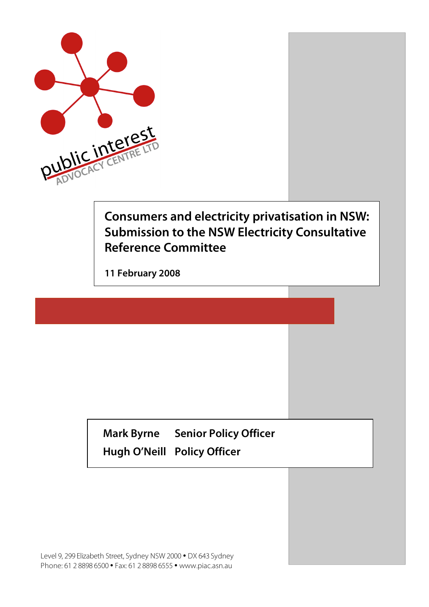

# **Consumers and electricity privatisation in NSW: Submission to the NSW Electricity Consultative Reference Committee**

**11 February 2008**

**Mark Byrne Senior Policy Officer Hugh O'Neill Policy Officer**

Level 9, 299 Elizabeth Street, Sydney NSW 2000 • DX 643 Sydney Phone: 61 2 8898 6500 • Fax: 61 2 8898 6555 • www.piac.asn.au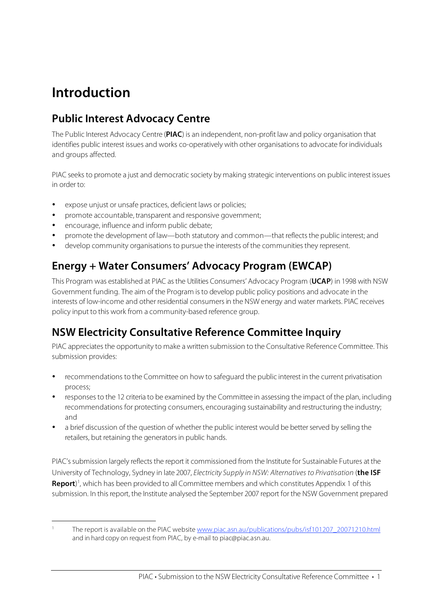# **Introduction**

### **Public Interest Advocacy Centre**

The Public Interest Advocacy Centre (**PIAC**) is an independent, non-profit law and policy organisation that identifies public interest issues and works co-operatively with other organisations to advocate for individuals and groups affected.

PIAC seeks to promote a just and democratic society by making strategic interventions on public interest issues in order to:

- expose unjust or unsafe practices, deficient laws or policies;
- promote accountable, transparent and responsive government;
- encourage, influence and inform public debate;
- promote the development of law—both statutory and common—that reflects the public interest; and
- develop community organisations to pursue the interests of the communities they represent.

### **Energy + Water Consumers' Advocacy Program (EWCAP)**

This Program was established at PIAC asthe Utilities Consumers' Advocacy Program (**UCAP**) in 1998 with NSW Government funding. The aim of the Program isto develop public policy positions and advocate in the interests of low-income and other residential consumersin the NSW energy and water markets. PIAC receives policy input to this work from a community-based reference group.

### **NSW Electricity Consultative Reference Committee Inquiry**

PIAC appreciates the opportunity to make a written submission to the Consultative Reference Committee. This submission provides:

- recommendations to the Committee on how to safeguard the public interest in the current privatisation process;
- responsesto the 12 criteria to be examined by the Committee in assessing the impact of the plan, including recommendations for protecting consumers, encouraging sustainability and restructuring the industry; and
- a brief discussion of the question of whether the public interest would be betterserved by selling the retailers, but retaining the generators in public hands.

PIAC's submission largely reflects the report it commissioned from the Institute for Sustainable Futures at the University of Technology, Sydney in late 2007, Electricity Supply in NSW: Alternatives to Privatisation (**the ISF Report**) 1 , which has been provided to all Committee members and which constitutes Appendix 1 of this submission. In thisreport, the Institute analysed the September 2007 report for the NSW Government prepared

 <sup>1</sup> The report is available on the PIAC website www.piac.asn.au/publications/pubs/isf101207\_20071210.html and in hard copy on request from PIAC, by e-mail to piac@piac.asn.au.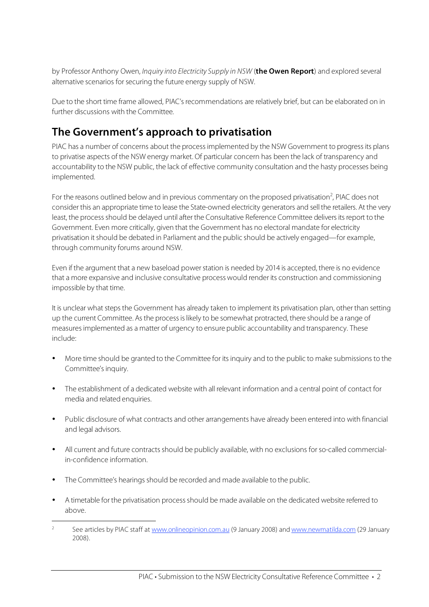by Professor Anthony Owen, Inquiry into Electricity Supply in NSW (**the Owen Report**) and explored several alternative scenarios for securing the future energy supply of NSW.

Due to the short time frame allowed, PIAC's recommendations are relatively brief, but can be elaborated on in further discussions with the Committee.

### **The Government's approach to privatisation**

PIAC has a number of concerns about the process implemented by the NSW Government to progress its plans to privatise aspects of the NSW energy market. Of particular concern has been the lack of transparency and accountability to the NSW public, the lack of effective community consultation and the hasty processes being implemented.

For the reasons outlined below and in previous commentary on the proposed privatisation<sup>2</sup>, PIAC does not consider this an appropriate time to lease the State-owned electricity generators and sellthe retailers. At the very least, the process should be delayed until after the Consultative Reference Committee delivers its report to the Government. Even more critically, given that the Government has no electoral mandate for electricity privatisation itshould be debated in Parliament and the public should be actively engaged—for example, through community forums around NSW.

Even if the argument that a new baseload powerstation is needed by 2014 is accepted, there is no evidence that a more expansive and inclusive consultative process would render its construction and commissioning impossible by that time.

It is unclear what steps the Government has already taken to implement its privatisation plan, other than setting up the current Committee. As the process is likely to be somewhat protracted, there should be a range of measuresimplemented as a matter of urgency to ensure public accountability and transparency. These include:

- More time should be granted to the Committee for its inquiry and to the public to make submissions to the Committee's inquiry.
- The establishment of a dedicated website with all relevant information and a central point of contact for media and related enquiries.
- Public disclosure of what contracts and other arrangements have already been entered into with financial and legal advisors.
- All current and future contracts should be publicly available, with no exclusions for so-called commercialin-confidence information.
- The Committee's hearings should be recorded and made available to the public.
- A timetable for the privatisation process should be made available on the dedicated website referred to above.

<sup>&</sup>lt;sup>2</sup> See articles by PIAC staff at www.onlineopinion.com.au (9 January 2008) and www.newmatilda.com (29 January 2008).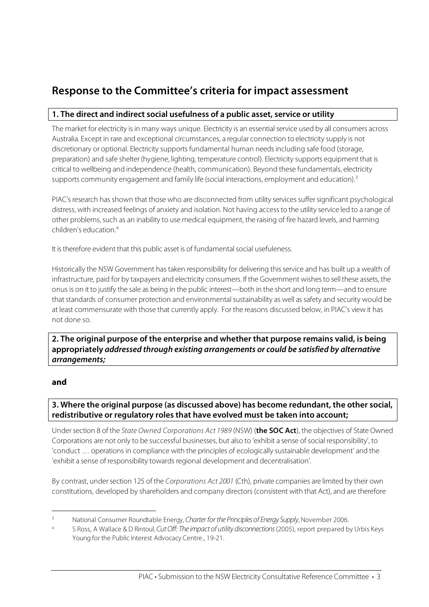### **Response to the Committee's criteria for impact assessment**

#### **1. The direct and indirect social usefulness of a public asset, service or utility**

The market for electricity isin many ways unique. Electricity is an essential service used by all consumers across Australia. Except in rare and exceptional circumstances, a regular connection to electricity supply is not discretionary or optional. Electricity supports fundamental human needsincluding safe food (storage, preparation) and safe shelter (hygiene, lighting, temperature control). Electricity supports equipment that is critical to wellbeing and independence (health, communication). Beyond these fundamentals, electricity supports community engagement and family life (social interactions, employment and education).<sup>3</sup>

PIAC's research has shown that those who are disconnected from utility services suffer significant psychological distress, with increased feelings of anxiety and isolation. Not having accessto the utility service led to a range of other problems, such as an inability to use medical equipment, the raising of fire hazard levels, and harming children's education. 4

It is therefore evident that this public asset is of fundamental social usefuleness.

Historically the NSW Government has taken responsibility for delivering this service and has built up a wealth of infrastructure, paid for by taxpayers and electricity consumers. If the Government wishes to sell these assets, the onus is on it to justify the sale as being in the public interest—both in the short and long term—and to ensure that standards of consumer protection and environmental sustainability as well as safety and security would be at least commensurate with those that currently apply. For the reasons discussed below, in PIAC's view it has not done so.

**2. The original purpose of the enterprise and whether that purpose remains valid, is being appropriately addressed through existing arrangements or could be satisfied by alternative arrangements;**

#### **and**

#### **3. Where the original purpose (as discussed above) has become redundant, the other social, redistributive or regulatory roles that have evolved must be taken into account;**

Undersection 8 of the State Owned Corporations Act 1989 (NSW) (**the SOC Act**), the objectives of State Owned Corporations are not only to be successful businesses, but also to 'exhibit a sense of social responsibility', to 'conduct … operations in compliance with the principles of ecologically sustainable development' and the 'exhibit a sense of responsibility towards regional development and decentralisation'.

By contrast, under section 125 of the Corporations Act 2001 (Cth), private companies are limited by their own constitutions, developed by shareholders and company directors (consistent with that Act), and are therefore

National Consumer Roundtable Energy, Charter for the Principles of Energy Supply, November 2006.

<sup>5</sup> Ross, A Wallace & D Rintoul, Cut Off: The impact of utility disconnections (2005), report prepared by Urbis Keys Young for the Public Interest Advocacy Centre., 19-21.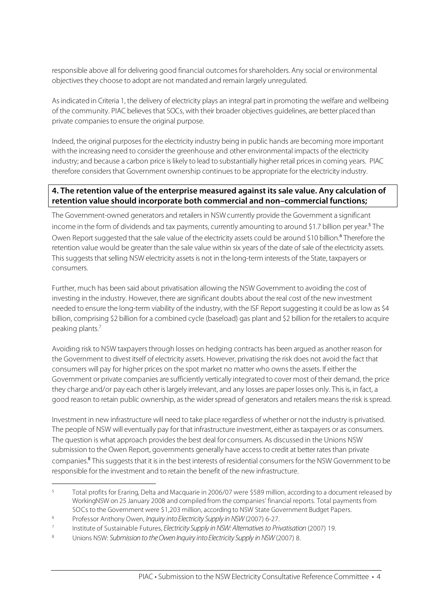responsible above all for delivering good financial outcomes forshareholders. Any social or environmental objectivesthey choose to adopt are not mandated and remain largely unregulated.

Asindicated in Criteria 1, the delivery of electricity plays an integral part in promoting the welfare and wellbeing of the community. PIAC believes that SOCs, with their broader objectives guidelines, are better placed than private companies to ensure the original purpose.

Indeed, the original purposesfor the electricity industry being in public hands are becoming more important with the increasing need to consider the greenhouse and other environmental impacts of the electricity industry; and because a carbon price is likely to lead to substantially higher retail prices in coming years. PIAC therefore considers that Government ownership continues to be appropriate for the electricity industry.

#### **4. The retention value of the enterprise measured against its sale value. Any calculation of retention value should incorporate both commercial and non–commercial functions;**

The Government-owned generators and retailers in NSW currently provide the Government a significant income in the form of dividends and tax payments, currently amounting to around \$1.7 billion per year. <sup>5</sup> The Owen Report suggested that the sale value of the electricity assets could be around \$10 billion.<sup>6</sup> Therefore the retention value would be greater than the sale value within six years of the date of sale of the electricity assets. This suggests that selling NSW electricity assets is not in the long-term interests of the State, taxpayers or consumers.

Further, much has been said about privatisation allowing the NSW Government to avoiding the cost of investing in the industry. However, there are significant doubts about the real cost of the new investment needed to ensure the long-term viability of the industry, with the ISF Report suggesting it could be as low as \$4 billion, comprising \$2 billion for a combined cycle (baseload) gas plant and \$2 billion for the retailersto acquire peaking plants. 7

Avoiding risk to NSW taxpayersthrough losses on hedging contracts has been argued as another reason for the Government to divest itself of electricity assets. However, privatising the risk does not avoid the fact that consumers will pay for higher prices on the spot market no matter who owns the assets. If either the Government or private companies are sufficiently vertically integrated to cover most of their demand, the price they charge and/or pay each other islargely irrelevant, and any losses are paper losses only. Thisis, in fact, a good reason to retain public ownership, as the wider spread of generators and retailers means the risk is spread.

Investment in new infrastructure will need to take place regardless of whether or not the industry is privatised. The people of NSW will eventually pay for that infrastructure investment, either astaxpayers or as consumers. The question is what approach provides the best deal for consumers. As discussed in the Unions NSW submission to the Owen Report, governments generally have access to credit at better rates than private companies.<sup>8</sup> This suggests that it is in the best interests of residential consumers for the NSW Government to be responsible for the investment and to retain the benefit of the new infrastructure.

 <sup>5</sup> Total profits for Eraring, Delta and Macquarie in 2006/07 were \$589 million, according to <sup>a</sup> document released by WorkingNSW on 25 January 2008 and compiled from the companies' financial reports. Total payments from SOCs to the Government were \$1,203 million, according to NSW State Government Budget Papers.

<sup>&</sup>lt;sup>6</sup> Professor Anthony Owen, *Inquiry into Electricity Supply in NSW* (2007) 6-27.

<sup>&</sup>lt;sup>7</sup> Institute of Sustainable Futures, Electricity Supply in NSW: Alternatives to Privatisation (2007) 19.

<sup>8</sup> Unions NSW: Submission to the Owen Inquiry into Electricity Supply in NSW (2007) 8.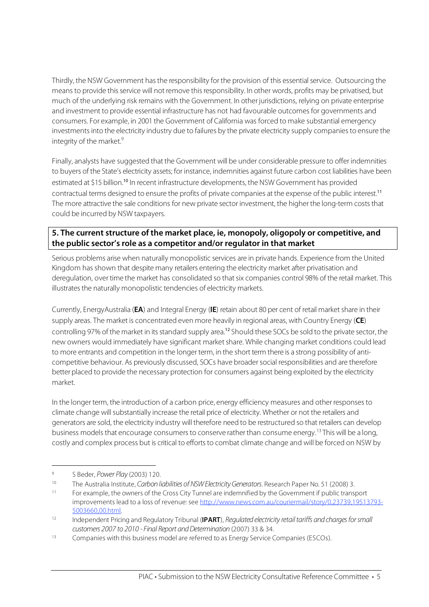Thirdly, the NSW Government hasthe responsibility for the provision of this essential service. Outsourcing the means to provide this service will not remove this responsibility. In other words, profits may be privatised, but much of the underlying risk remains with the Government. In other jurisdictions, relying on private enterprise and investment to provide essential infrastructure has not had favourable outcomes for governments and consumers. For example, in 2001 the Government of California was forced to make substantial emergency investments into the electricity industry due to failures by the private electricity supply companies to ensure the integrity of the market. 9

Finally, analysts have suggested that the Government will be under considerable pressure to offer indemnities to buyers of the State's electricity assets; for instance, indemnities against future carbon cost liabilities have been estimated at \$15 billion.<sup>10</sup> In recent infrastructure developments, the NSW Government has provided contractual terms designed to ensure the profits of private companies at the expense of the public interest.<sup>11</sup> The more attractive the sale conditions for new private sector investment, the higher the long-term costs that could be incurred by NSW taxpayers.

#### **5. The current structure of the market place, ie, monopoly, oligopoly or competitive, and the public sector's role as a competitor and/or regulator in that market**

Serious problems arise when naturally monopolistic services are in private hands. Experience from the United Kingdom has shown that despite many retailers entering the electricity market after privatisation and deregulation, over time the market has consolidated so that six companies control 98% of the retail market. This illustrates the naturally monopolistic tendencies of electricity markets.

Currently, EnergyAustralia (**EA**) and Integral Energy (**IE**) retain about 80 per cent of retail marketshare in their supply areas. The market is concentrated even more heavily in regional areas, with Country Energy (**CE**) controlling 97% of the market in its standard supply area.<sup>12</sup> Should these SOCs be sold to the private sector, the new owners would immediately have significant market share. While changing market conditions could lead to more entrants and competition in the longer term, in the short term there is a strong possibility of anticompetitive behaviour. As previously discussed, SOCs have broader social responsibilities and are therefore better placed to provide the necessary protection for consumers against being exploited by the electricity market.

In the longer term, the introduction of a carbon price, energy efficiency measures and other responsesto climate change will substantially increase the retail price of electricity. Whether or not the retailers and generators are sold, the electricity industry will therefore need to be restructured so that retailers can develop business models that encourage consumers to conserve rather than consume energy.<sup>13</sup> This will be a long, costly and complex process but is critical to efforts to combat climate change and will be forced on NSW by

<sup>9</sup> S Beder, Power Play (2003) 120.

<sup>10</sup> The Australia Institute, Carbon liabilities of NSW Electricity Generators. Research Paper No. 51 (2008) 3.<br>11 Easewample, the owners of the Cross City Tunnel are indemnified by the Covernment if publis transm

<sup>11</sup> For example, the owners of the Cross City Tunnel are indemnified by the Government if public transport improvements lead to a loss of revenue: see http://www.news.com.au/couriermail/story/0,23739,19513793- 5003660,00.html.

<sup>&</sup>lt;sup>12</sup> Independent Pricing and Regulatory Tribunal (**IPART**), Regulated electricity retail tariffs and charges for small customers 2007 to 2010 - Final Report andDetermination (2007) 33 & 34.

<sup>&</sup>lt;sup>13</sup> Companies with this business model are referred to as Energy Service Companies (ESCOs).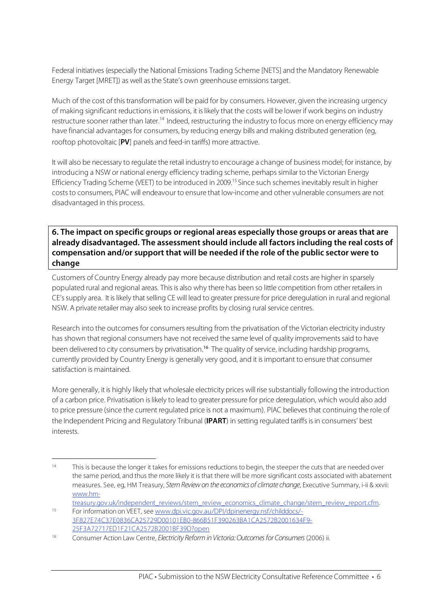Federal initiatives (especially the National Emissions Trading Scheme [NETS] and the Mandatory Renewable Energy Target [MRET]) as well asthe State's own greenhouse emissions target.

Much of the cost of this transformation will be paid for by consumers. However, given the increasing urgency of making significant reductions in emissions, it islikely that the costs will be lower if work begins on industry restructure sooner rather than later.<sup>14</sup> Indeed, restructuring the industry to focus more on energy efficiency may have financial advantages for consumers, by reducing energy bills and making distributed generation (eg, rooftop photovoltaic [**PV**] panels and feed-in tariffs) more attractive.

It will also be necessary to regulate the retail industry to encourage a change of business model; for instance, by introducing a NSW or national energy efficiency trading scheme, perhaps similar to the Victorian Energy Efficiency Trading Scheme (VEET) to be introduced in 2009.<sup>15</sup> Since such schemes inevitably result in higher coststo consumers, PIAC will endeavour to ensure that low-income and other vulnerable consumers are not disadvantaged in this process.

#### **6. The impact on specific groups or regional areas especially those groups or areas that are already disadvantaged. The assessment should include all factors including the real costs of compensation and/or support that will be needed if the role of the public sector were to change**

Customers of Country Energy already pay more because distribution and retail costs are higher in sparsely populated rural and regional areas. This is also why there has been so little competition from other retailers in CE's supply area. It is likely that selling CE will lead to greater pressure for price deregulation in rural and regional NSW. A private retailer may also seek to increase profits by closing rural service centres.

Research into the outcomes for consumers resulting from the privatisation of the Victorian electricity industry has shown that regional consumers have not received the same level of quality improvementssaid to have been delivered to city consumers by privatisation.<sup>16</sup> The quality of service, including hardship programs, currently provided by Country Energy is generally very good, and it isimportant to ensure that consumer satisfaction is maintained.

More generally, it is highly likely that wholesale electricity prices will rise substantially following the introduction of a carbon price. Privatisation islikely to lead to greater pressure for price deregulation, which would also add to price pressure (since the current regulated price is not a maximum). PIAC believesthat continuing the role of the Independent Pricing and Regulatory Tribunal (**IPART**) in setting regulated tariffs isin consumers' best interests.

<sup>&</sup>lt;sup>14</sup> This is because the longer it takes for emissions reductions to begin, the steeper the cuts that are needed over the same period, and thus the more likely it is that there will be more significant costs associated with abatement measures. See, eg, HM Treasury, Stern Review on the economics of climate change, Executive Summary, i-ii & xxvii: www.hmtreasury.gov.uk/independent\_reviews/stern\_review\_economics\_climate\_change/stern\_review\_report.cfm.

<sup>15</sup> For information on VEET, see www.dpi.vic.gov.au/DPI/dpinenergy.nsf/childdocs/- 3F827E74C37E0836CA25729D00101EB0-866B51F390263BA1CA2572B2001634F9- 25F3A72717ED1F21CA2572B2001BF39D?open

<sup>&</sup>lt;sup>16</sup> Consumer Action Law Centre, Electricity Reform in Victoria: Outcomes for Consumers (2006) ii.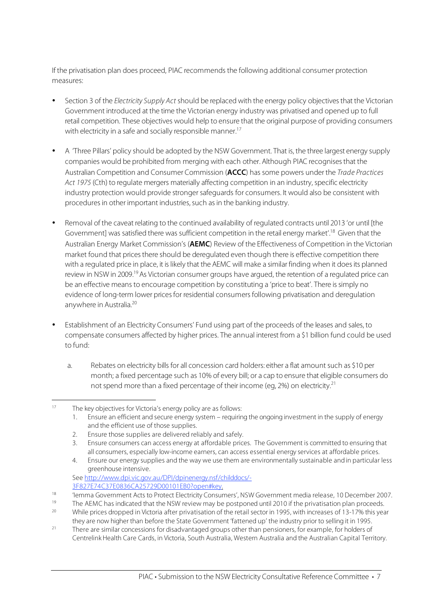If the privatisation plan does proceed, PIAC recommends the following additional consumer protection measures:

- Section 3 of the Electricity Supply Act should be replaced with the energy policy objectives that the Victorian Government introduced at the time the Victorian energy industry was privatised and opened up to full retail competition. These objectives would help to ensure that the original purpose of providing consumers with electricity in a safe and socially responsible manner.<sup>17</sup>
- A 'Three Pillars' policy should be adopted by the NSW Government. That is, the three largest energy supply companies would be prohibited from merging with each other. Although PIAC recognisesthat the Australian Competition and Consumer Commission (**ACCC**) has some powers under the Trade Practices Act 1975 (Cth) to regulate mergers materially affecting competition in an industry, specific electricity industry protection would provide stronger safeguards for consumers. It would also be consistent with procedures in other important industries, such as in the banking industry.
- Removal of the caveat relating to the continued availability of regulated contracts until 2013 'or until [the Government] was satisfied there was sufficient competition in the retail energy market'.<sup>18</sup> Given that the Australian Energy Market Commission's (**AEMC**) Review of the Effectiveness of Competition in the Victorian market found that prices there should be deregulated even though there is effective competition there with a regulated price in place, it is likely that the AEMC will make a similar finding when it does its planned review in NSW in 2009.<sup>19</sup> As Victorian consumer groups have argued, the retention of a regulated price can be an effective means to encourage competition by constituting a 'price to beat'. There is simply no evidence of long-term lower prices for residential consumers following privatisation and deregulation anywhere in Australia. 20
- Establishment of an Electricity Consumers' Fund using part of the proceeds of the leases and sales, to compensate consumers affected by higher prices. The annual interest from a \$1 billion fund could be used to fund:
	- a. Rebates on electricity bills for all concession card holders: either a flat amount such as \$10 per month; a fixed percentage such as 10% of every bill; or a cap to ensure that eligible consumers do not spend more than a fixed percentage of their income (eg, 2%) on electricity.<sup>21</sup>

1. Ensure an efficient and secure energy system – requiring the ongoing investment in the supply of energy and the efficient use of those supplies.

3. Ensure consumers can access energy at affordable prices. The Government is committed to ensuring that all consumers, especially low-income earners, can access essential energy services at affordable prices.

See http://www.dpi.vic.gov.au/DPI/dpinenergy.nsf/childdocs/- 3F827E74C37E0836CA25729D00101EB0?open#key.

 <sup>17</sup> The key objectives for Victoria's energy policy are as follows:

<sup>2.</sup> Ensure those supplies are delivered reliably and safely.

<sup>4.</sup> Ensure our energy supplies and the way we use them are environmentally sustainable and in particular less greenhouse intensive.

<sup>18 &#</sup>x27;Iemma Government Acts to Protect Electricity Consumers', NSW Government media release, 10 December 2007.<br>The AEMC has indicated that the NSM review may be nectnoped until 2010 if the privatication plan proceeds.

<sup>19</sup> The AEMC has indicated that the NSW review may be postponed until 2010 if the privatisation plan proceeds.<br>20 While prices dramad in Victoria after privatisation of the ratail sector in 1005 with increases of 13,170/ th

<sup>20</sup> While prices dropped in Victoria after privatisation of the retail sector in 1995, with increases of 13-17% this year they are now higher than before the State Government 'fattened up' the industry prior to selling it in 1995.

<sup>&</sup>lt;sup>21</sup> There are similar concessions for disadvantaged groups other than pensioners, for example, for holders of Centrelink Health Care Cards, in Victoria, South Australia, Western Australia and the Australian Capital Territory.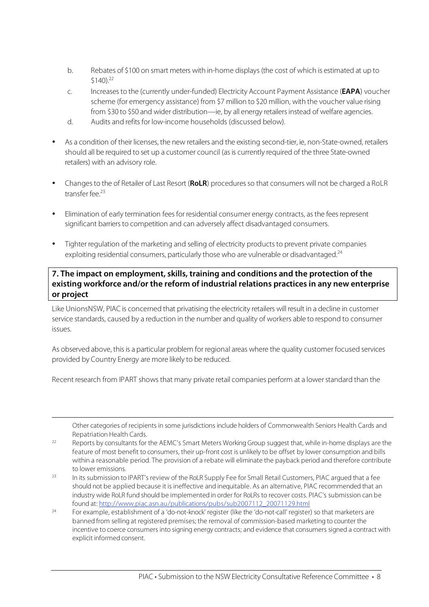- b. Rebates of \$100 on smart meters with in-home displays (the cost of which is estimated at up to \$140). 22
- c. Increasesto the (currently under-funded) Electricity Account Payment Assistance (**EAPA**) voucher scheme (for emergency assistance) from \$7 million to \$20 million, with the voucher value rising from \$30 to \$50 and wider distribution—ie, by all energy retailers instead of welfare agencies.
- d. Audits and refits for low-income households (discussed below).
- As a condition of their licenses, the new retailers and the existing second-tier, ie, non-State-owned, retailers should all be required to set up a customer council (as is currently required of the three State-owned retailers) with an advisory role.
- Changes to the of Retailer of Last Resort (RoLR) procedures so that consumers will not be charged a RoLR transfer fee. 23
- Elimination of early termination fees for residential consumer energy contracts, asthe feesrepresent significant barriers to competition and can adversely affect disadvantaged consumers.
- Tighter regulation of the marketing and selling of electricity products to prevent private companies exploiting residential consumers, particularly those who are vulnerable or disadvantaged.<sup>24</sup>

#### **7. The impact on employment, skills, training and conditions and the protection of the existing workforce and/or the reform of industrial relations practices in any new enterprise or project**

Like UnionsNSW, PIAC is concerned that privatising the electricity retailers will result in a decline in customer service standards, caused by a reduction in the number and quality of workers able to respond to consumer issues.

As observed above, thisis a particular problem for regional areas where the quality customer focused services provided by Country Energy are more likely to be reduced.

Recent research from IPART shows that many private retail companies perform at a lower standard than the

 $\overline{a}$ 

Other categories of recipients in some jurisdictions include holders of Commonwealth Seniors Health Cards and Repatriation Health Cards.

- <sup>22</sup> Reports by consultants for the AEMC's Smart Meters Working Group suggest that, while in-home displays are the feature of most benefit to consumers, their up-front cost is unlikely to be offset by lower consumption and bills within a reasonable period. The provision of a rebate will eliminate the payback period and therefore contribute to lower emissions.
- <sup>23</sup> In its submission to IPART's review of the RoLR Supply Fee for Small Retail Customers, PIAC argued that a fee should not be applied because it is ineffective and inequitable. As an alternative, PIAC recommended that an industry wide RoLR fund should be implemented in order for RoLRs to recover costs. PIAC's submission can be found at: http://www.piac.asn.au/publications/pubs/sub2007112\_20071129.html
- <sup>24</sup> For example, establishment of a 'do-not-knock' register (like the 'do-not-call' register) so that marketers are banned from selling at registered premises; the removal of commission-based marketing to counter the incentive to coerce consumers into signing energy contracts; and evidence that consumers signed a contract with explicit informed consent.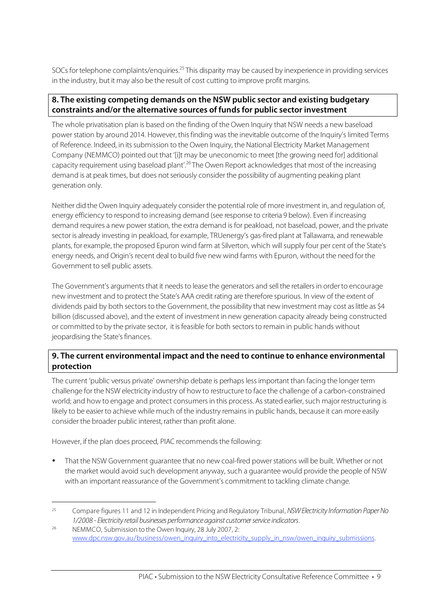SOCs for telephone complaints/enquiries.<sup>25</sup> This disparity may be caused by inexperience in providing services in the industry, but it may also be the result of cost cutting to improve profit margins.

#### **8. The existing competing demands on the NSW public sector and existing budgetary constraints and/or the alternative sources of funds for public sector investment**

The whole privatisation plan is based on the finding of the Owen Inquiry that NSW needs a new baseload power station by around 2014. However, thisfinding was the inevitable outcome of the Inquiry's limited Terms of Reference. Indeed, in itssubmission to the Owen Inquiry, the National Electricity Market Management Company (NEMMCO) pointed out that '[i]t may be uneconomic to meet [the growing need for] additional capacity requirement using baseload plant'.<sup>26</sup> The Owen Report acknowledges that most of the increasing demand is at peak times, but does not seriously consider the possibility of augmenting peaking plant generation only.

Neither did the Owen Inquiry adequately consider the potential role of more investment in, and regulation of, energy efficiency to respond to increasing demand (see response to criteria 9 below). Even if increasing demand requires a new power station, the extra demand is for peakload, not baseload, power, and the private sector is already investing in peakload, for example, TRUenergy's gas-fired plant at Tallawarra, and renewable plants, for example, the proposed Epuron wind farm at Silverton, which will supply four per cent of the State's energy needs, and Origin's recent deal to build five new wind farms with Epuron, without the need for the Government to sell public assets.

The Government's arguments that it needs to lease the generators and sell the retailers in order to encourage new investment and to protect the State's AAA credit rating are therefore spurious. In view of the extent of dividends paid by both sectors to the Government, the possibility that new investment may cost as little as \$4 billion (discussed above), and the extent of investment in new generation capacity already being constructed or committed to by the private sector, it is feasible for both sectorsto remain in public hands without jeopardising the State's finances.

#### **9. The current environmental impact and the need to continue to enhance environmental protection**

The current 'public versus private' ownership debate is perhaps lessimportant than facing the longer term challenge for the NSW electricity industry of how to restructure to face the challenge of a carbon-constrained world; and how to engage and protect consumers in this process. As stated earlier, such major restructuring is likely to be easier to achieve while much of the industry remains in public hands, because it can more easily consider the broader public interest, rather than profit alone.

However, if the plan does proceed, PIAC recommends the following:

• That the NSW Government guarantee that no new coal-fired powerstations will be built. Whether or not the market would avoid such development anyway, such a guarantee would provide the people of NSW with an important reassurance of the Government's commitment to tackling climate change.

<sup>&</sup>lt;sup>25</sup> Compare figures 11 and 12 in Independent Pricing and Regulatory Tribunal, NSW Electricity Information Paper No 1/2008 - Electricity retail businesses performance against customer service indicators.

<sup>26</sup> NEMMCO, Submission to the Owen Inquiry, 28 July 2007, 2: www.dpc.nsw.gov.au/business/owen\_inquiry\_into\_electricity\_supply\_in\_nsw/owen\_inquiry\_submissions.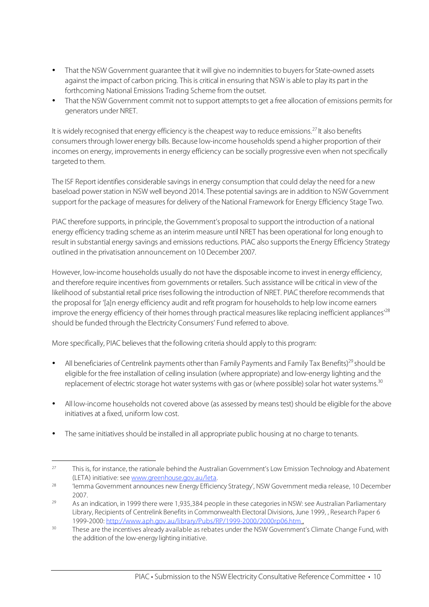- That the NSW Government quarantee that it will give no indemnities to buyers for State-owned assets against the impact of carbon pricing. Thisis critical in ensuring that NSW is able to play its part in the forthcoming National Emissions Trading Scheme from the outset.
- That the NSW Government commit not to support attempts to get a free allocation of emissions permits for generators under NRET.

It is widely recognised that energy efficiency is the cheapest way to reduce emissions.<sup>27</sup> It also benefits consumersthrough lower energy bills. Because low-income households spend a higher proportion of their incomes on energy, improvements in energy efficiency can be socially progressive even when not specifically targeted to them.

The ISF Report identifies considerable savings in energy consumption that could delay the need for a new baseload power station in NSW well beyond 2014. These potential savings are in addition to NSW Government support for the package of measures for delivery of the National Framework for Energy Efficiency Stage Two.

PIAC therefore supports, in principle, the Government's proposal to support the introduction of a national energy efficiency trading scheme as an interim measure until NRET has been operational for long enough to result in substantial energy savings and emissions reductions. PIAC also supportsthe Energy Efficiency Strategy outlined in the privatisation announcement on 10 December 2007.

However, low-income households usually do not have the disposable income to invest in energy efficiency, and therefore require incentives from governments or retailers. Such assistance will be critical in view of the likelihood of substantial retail price rises following the introduction of NRET. PIAC therefore recommends that the proposal for '[a]n energy efficiency audit and refit program for householdsto help low income earners improve the energy efficiency of their homes through practical measures like replacing inefficient appliances'<sup>28</sup> should be funded through the Electricity Consumers' Fund referred to above.

More specifically, PIAC believes that the following criteria should apply to this program:

- All beneficiaries of Centrelink payments other than Family Payments and Family Tax Benefits)<sup>29</sup> should be eligible for the free installation of ceiling insulation (where appropriate) and low-energy lighting and the replacement of electric storage hot water systems with gas or (where possible) solar hot water systems.<sup>30</sup>
- All low-income households not covered above (as assessed by means test) should be eligible for the above initiatives at a fixed, uniform low cost.
- The same initiatives should be installed in all appropriate public housing at no charge to tenants.

<sup>&</sup>lt;sup>27</sup> This is, for instance, the rationale behind the Australian Government's Low Emission Technology and Abatement (LETA) initiative: see www.greenhouse.gov.au/leta.

<sup>&</sup>lt;sup>28</sup> 'Iemma Government announces new Energy Efficiency Strategy', NSW Government media release, 10 December 2007.

<sup>&</sup>lt;sup>29</sup> As an indication, in 1999 there were 1,935,384 people in these categories in NSW: see Australian Parliamentary Library, Recipients of Centrelink Benefits in Commonwealth Electoral Divisions, June 1999, , Research Paper 6 1999-2000: http://www.aph.gov.au/library/Pubs/RP/1999-2000/2000rp06.htm .

<sup>&</sup>lt;sup>30</sup> These are the incentives already available as rebates under the NSW Government's Climate Change Fund, with the addition of the low-energy lighting initiative.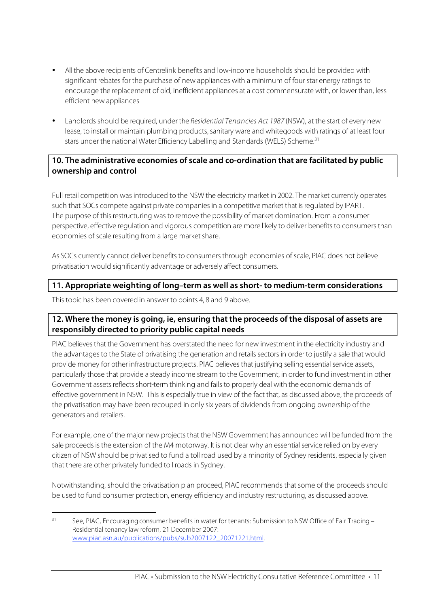- Allthe above recipients of Centrelink benefits and low-income households should be provided with significant rebates for the purchase of new appliances with a minimum of four star energy ratings to encourage the replacement of old, inefficient appliances at a cost commensurate with, or lower than, less efficient new appliances
- Landlords should be required, under the Residential Tenancies Act 1987 (NSW), at the start of every new lease, to install or maintain plumbing products,sanitary ware and whitegoods with ratings of at least four stars under the national Water Efficiency Labelling and Standards (WELS) Scheme. 31

#### **10. The administrative economies of scale and co-ordination that are facilitated by public ownership and control**

Full retail competition was introduced to the NSW the electricity market in 2002. The market currently operates such that SOCs compete against private companies in a competitive market that is regulated by IPART. The purpose of this restructuring was to remove the possibility of market domination. From a consumer perspective, effective regulation and vigorous competition are more likely to deliver benefitsto consumersthan economies of scale resulting from a large market share.

As SOCs currently cannot deliver benefits to consumers through economies of scale, PIAC does not believe privatisation would significantly advantage or adversely affect consumers.

#### **11. Appropriate weighting of long–term as well as short- to medium-term considerations**

Thistopic has been covered in answer to points 4, 8 and 9 above.

#### **12. Where the money is going, ie, ensuring that the proceeds of the disposal of assets are responsibly directed to priority public capital needs**

PIAC believes that the Government has overstated the need for new investment in the electricity industry and the advantagesto the State of privatising the generation and retailssectorsin order to justify a sale that would provide money for other infrastructure projects. PIAC believesthat justifying selling essential service assets, particularly those that provide a steady income stream to the Government, in order to fund investment in other Government assets reflects short-term thinking and fails to properly deal with the economic demands of effective government in NSW. Thisis especially true in view of the fact that, as discussed above, the proceeds of the privatisation may have been recouped in only six years of dividends from ongoing ownership of the generators and retailers.

For example, one of the major new projects that the NSW Government has announced will be funded from the sale proceeds is the extension of the M4 motorway. It is not clear why an essential service relied on by every citizen of NSW should be privatised to fund a toll road used by a minority of Sydney residents, especially given that there are other privately funded toll roads in Sydney.

Notwithstanding, should the privatisation plan proceed, PIAC recommends that some of the proceeds should be used to fund consumer protection, energy efficiency and industry restructuring, as discussed above.

<sup>&</sup>lt;sup>31</sup> See, PIAC, Encouraging consumer benefits in water for tenants: Submission to NSW Office of Fair Trading – Residential tenancy law reform, 21 December 2007: www.piac.asn.au/publications/pubs/sub2007122\_20071221.html.